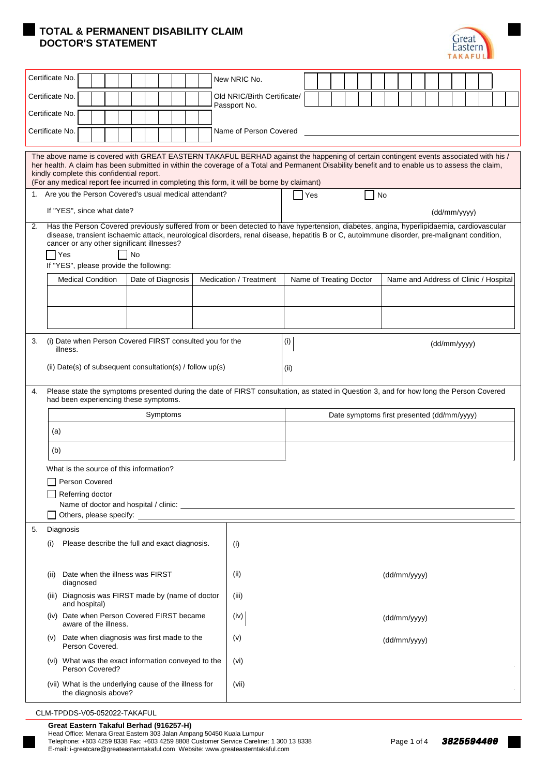## **TOTAL & PERMANENT DISABILITY CLAIM DOCTOR'S STATEMENT**



| Certificate No.<br>New NRIC No.           |                                                                                                                                                                                                                                                                                                                                                                                                                                     |                             |                        |              |                         |  |  |  |    |                                            |  |  |  |              |  |  |  |
|-------------------------------------------|-------------------------------------------------------------------------------------------------------------------------------------------------------------------------------------------------------------------------------------------------------------------------------------------------------------------------------------------------------------------------------------------------------------------------------------|-----------------------------|------------------------|--------------|-------------------------|--|--|--|----|--------------------------------------------|--|--|--|--------------|--|--|--|
| Certificate No.                           |                                                                                                                                                                                                                                                                                                                                                                                                                                     | Old NRIC/Birth Certificate/ |                        |              |                         |  |  |  |    |                                            |  |  |  |              |  |  |  |
|                                           | Certificate No.                                                                                                                                                                                                                                                                                                                                                                                                                     | Passport No.                |                        |              |                         |  |  |  |    |                                            |  |  |  |              |  |  |  |
| Certificate No.<br>Name of Person Covered |                                                                                                                                                                                                                                                                                                                                                                                                                                     |                             |                        |              |                         |  |  |  |    |                                            |  |  |  |              |  |  |  |
|                                           |                                                                                                                                                                                                                                                                                                                                                                                                                                     |                             |                        |              |                         |  |  |  |    |                                            |  |  |  |              |  |  |  |
|                                           | The above name is covered with GREAT EASTERN TAKAFUL BERHAD against the happening of certain contingent events associated with his /<br>her health. A claim has been submitted in within the coverage of a Total and Permanent Disability benefit and to enable us to assess the claim,<br>kindly complete this confidential report.<br>(For any medical report fee incurred in completing this form, it will be borne by claimant) |                             |                        |              |                         |  |  |  |    |                                            |  |  |  |              |  |  |  |
|                                           | 1. Are you the Person Covered's usual medical attendant?                                                                                                                                                                                                                                                                                                                                                                            |                             |                        |              | <b>Yes</b>              |  |  |  | No |                                            |  |  |  |              |  |  |  |
|                                           | If "YES", since what date?                                                                                                                                                                                                                                                                                                                                                                                                          |                             |                        |              |                         |  |  |  |    |                                            |  |  |  | (dd/mm/yyyy) |  |  |  |
| 2.                                        | Has the Person Covered previously suffered from or been detected to have hypertension, diabetes, angina, hyperlipidaemia, cardiovascular<br>disease, transient ischaemic attack, neurological disorders, renal disease, hepatitis B or C, autoimmune disorder, pre-malignant condition,<br>cancer or any other significant illnesses?<br>Yes<br>If "YES", please provide the following:                                             | 1 No                        |                        |              |                         |  |  |  |    |                                            |  |  |  |              |  |  |  |
|                                           | <b>Medical Condition</b>                                                                                                                                                                                                                                                                                                                                                                                                            | Date of Diagnosis           | Medication / Treatment |              | Name of Treating Doctor |  |  |  |    | Name and Address of Clinic / Hospital      |  |  |  |              |  |  |  |
|                                           |                                                                                                                                                                                                                                                                                                                                                                                                                                     |                             |                        |              |                         |  |  |  |    |                                            |  |  |  |              |  |  |  |
|                                           |                                                                                                                                                                                                                                                                                                                                                                                                                                     |                             |                        |              |                         |  |  |  |    |                                            |  |  |  |              |  |  |  |
| 3.                                        | (i) Date when Person Covered FIRST consulted you for the<br>illness.                                                                                                                                                                                                                                                                                                                                                                |                             |                        | $(\sf{i})$   | (dd/mm/yyyy)            |  |  |  |    |                                            |  |  |  |              |  |  |  |
|                                           | (ii) Date(s) of subsequent consultation(s) / follow $up(s)$                                                                                                                                                                                                                                                                                                                                                                         |                             |                        | (ii)         |                         |  |  |  |    |                                            |  |  |  |              |  |  |  |
| 4.                                        | Please state the symptoms presented during the date of FIRST consultation, as stated in Question 3, and for how long the Person Covered<br>had been experiencing these symptoms.                                                                                                                                                                                                                                                    |                             |                        |              |                         |  |  |  |    |                                            |  |  |  |              |  |  |  |
|                                           | Symptoms                                                                                                                                                                                                                                                                                                                                                                                                                            |                             |                        |              |                         |  |  |  |    | Date symptoms first presented (dd/mm/yyyy) |  |  |  |              |  |  |  |
|                                           | (a)                                                                                                                                                                                                                                                                                                                                                                                                                                 |                             |                        |              |                         |  |  |  |    |                                            |  |  |  |              |  |  |  |
|                                           | (b)                                                                                                                                                                                                                                                                                                                                                                                                                                 |                             |                        |              |                         |  |  |  |    |                                            |  |  |  |              |  |  |  |
| What is the source of this information?   |                                                                                                                                                                                                                                                                                                                                                                                                                                     |                             |                        |              |                         |  |  |  |    |                                            |  |  |  |              |  |  |  |
|                                           | Person Covered<br>Referring doctor                                                                                                                                                                                                                                                                                                                                                                                                  |                             |                        |              |                         |  |  |  |    |                                            |  |  |  |              |  |  |  |
|                                           |                                                                                                                                                                                                                                                                                                                                                                                                                                     |                             |                        |              |                         |  |  |  |    |                                            |  |  |  |              |  |  |  |
|                                           | Others, please specify: Others, and the specify:                                                                                                                                                                                                                                                                                                                                                                                    |                             |                        |              |                         |  |  |  |    |                                            |  |  |  |              |  |  |  |
| 5.                                        | Diagnosis<br>Please describe the full and exact diagnosis.<br>(i)                                                                                                                                                                                                                                                                                                                                                                   |                             |                        |              |                         |  |  |  |    |                                            |  |  |  |              |  |  |  |
|                                           |                                                                                                                                                                                                                                                                                                                                                                                                                                     | (i)                         |                        |              |                         |  |  |  |    |                                            |  |  |  |              |  |  |  |
|                                           | Date when the illness was FIRST<br>(ii)<br>diagnosed                                                                                                                                                                                                                                                                                                                                                                                | (ii)                        |                        | (dd/mm/yyyy) |                         |  |  |  |    |                                            |  |  |  |              |  |  |  |
|                                           | Diagnosis was FIRST made by (name of doctor<br>(iii)                                                                                                                                                                                                                                                                                                                                                                                |                             | (iii)                  |              |                         |  |  |  |    |                                            |  |  |  |              |  |  |  |
|                                           | and hospital)<br>(iv) Date when Person Covered FIRST became<br>(iv)<br>aware of the illness.                                                                                                                                                                                                                                                                                                                                        |                             |                        |              | (dd/mm/yyyy)            |  |  |  |    |                                            |  |  |  |              |  |  |  |
|                                           | Date when diagnosis was first made to the<br>(v)<br>(V)<br>Person Covered.                                                                                                                                                                                                                                                                                                                                                          |                             |                        |              | (dd/mm/yyyy)            |  |  |  |    |                                            |  |  |  |              |  |  |  |
|                                           | (vi) What was the exact information conveyed to the<br>(vi)<br>Person Covered?                                                                                                                                                                                                                                                                                                                                                      |                             |                        |              |                         |  |  |  |    |                                            |  |  |  |              |  |  |  |
|                                           | (vii) What is the underlying cause of the illness for<br>the diagnosis above?                                                                                                                                                                                                                                                                                                                                                       |                             | (vii)                  |              |                         |  |  |  |    |                                            |  |  |  |              |  |  |  |
|                                           |                                                                                                                                                                                                                                                                                                                                                                                                                                     |                             |                        |              |                         |  |  |  |    |                                            |  |  |  |              |  |  |  |

CLM-TPDDS-V05-052022-TAKAFUL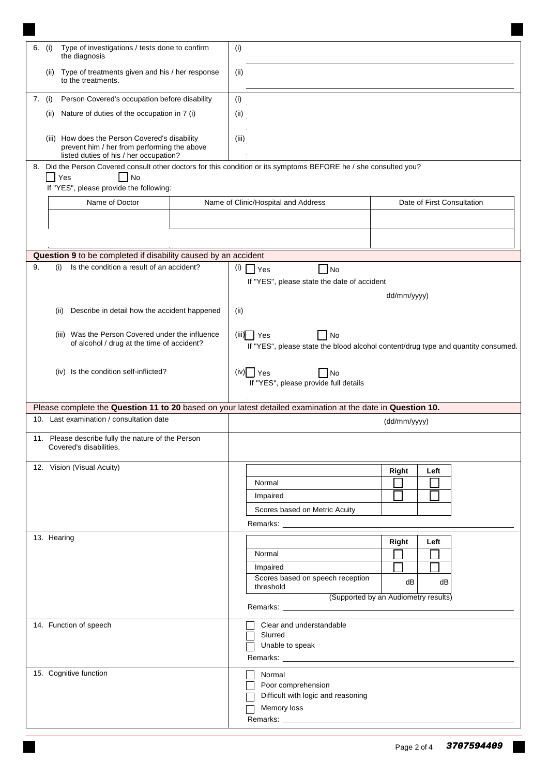| Type of investigations / tests done to confirm<br>6.<br>(i)<br>the diagnosis                                                            | (i)                                                                                                                                                                                                                            |
|-----------------------------------------------------------------------------------------------------------------------------------------|--------------------------------------------------------------------------------------------------------------------------------------------------------------------------------------------------------------------------------|
| Type of treatments given and his / her response<br>(ii)<br>to the treatments.                                                           | (i)                                                                                                                                                                                                                            |
| Person Covered's occupation before disability<br>7. (i)                                                                                 | (i)                                                                                                                                                                                                                            |
| Nature of duties of the occupation in 7 (i)<br>(ii)                                                                                     | (i)                                                                                                                                                                                                                            |
|                                                                                                                                         |                                                                                                                                                                                                                                |
| (iii) How does the Person Covered's disability<br>prevent him / her from performing the above<br>listed duties of his / her occupation? | (iii)                                                                                                                                                                                                                          |
| 8.                                                                                                                                      | Did the Person Covered consult other doctors for this condition or its symptoms BEFORE he / she consulted you?                                                                                                                 |
| Yes<br>  No                                                                                                                             |                                                                                                                                                                                                                                |
| If "YES", please provide the following:                                                                                                 |                                                                                                                                                                                                                                |
| Name of Doctor                                                                                                                          | Name of Clinic/Hospital and Address<br>Date of First Consultation                                                                                                                                                              |
|                                                                                                                                         |                                                                                                                                                                                                                                |
|                                                                                                                                         |                                                                                                                                                                                                                                |
| Question 9 to be completed if disability caused by an accident                                                                          |                                                                                                                                                                                                                                |
| Is the condition a result of an accident?<br>9.<br>(i)                                                                                  | (i)<br>N <sub>o</sub><br>  Yes                                                                                                                                                                                                 |
|                                                                                                                                         | If "YES", please state the date of accident                                                                                                                                                                                    |
|                                                                                                                                         | dd/mm/yyyy)                                                                                                                                                                                                                    |
| Describe in detail how the accident happened<br>(ii)                                                                                    | (ii)                                                                                                                                                                                                                           |
|                                                                                                                                         |                                                                                                                                                                                                                                |
| (iii) Was the Person Covered under the influence                                                                                        | No<br>(iii)<br>l Yes                                                                                                                                                                                                           |
| of alcohol / drug at the time of accident?                                                                                              | If "YES", please state the blood alcohol content/drug type and quantity consumed.                                                                                                                                              |
|                                                                                                                                         |                                                                                                                                                                                                                                |
| (iv) Is the condition self-inflicted?                                                                                                   | $(iv)$ $\sqrt{ }$ Yes<br>$\neg$ No<br>If "YES", please provide full details                                                                                                                                                    |
|                                                                                                                                         |                                                                                                                                                                                                                                |
|                                                                                                                                         | Please complete the Question 11 to 20 based on your latest detailed examination at the date in Question 10.                                                                                                                    |
| 10. Last examination / consultation date                                                                                                | (dd/mm/yyyy)                                                                                                                                                                                                                   |
| 11. Please describe fully the nature of the Person<br>Covered's disabilities.                                                           |                                                                                                                                                                                                                                |
| 12. Vision (Visual Acuity)                                                                                                              |                                                                                                                                                                                                                                |
|                                                                                                                                         | Right<br>Left<br>Normal                                                                                                                                                                                                        |
|                                                                                                                                         | Impaired                                                                                                                                                                                                                       |
|                                                                                                                                         | Scores based on Metric Acuity                                                                                                                                                                                                  |
|                                                                                                                                         | Remarks: The contract of the contract of the contract of the contract of the contract of the contract of the contract of the contract of the contract of the contract of the contract of the contract of the contract of the c |
| 13. Hearing                                                                                                                             | Right<br>Left                                                                                                                                                                                                                  |
|                                                                                                                                         | Normal<br>$\sim$                                                                                                                                                                                                               |
|                                                                                                                                         | $\Box$<br>Impaired                                                                                                                                                                                                             |
|                                                                                                                                         | Scores based on speech reception<br>dB<br>dB                                                                                                                                                                                   |
|                                                                                                                                         | threshold<br>(Supported by an Audiometry results)                                                                                                                                                                              |
|                                                                                                                                         |                                                                                                                                                                                                                                |
| 14. Function of speech                                                                                                                  | Clear and understandable                                                                                                                                                                                                       |
|                                                                                                                                         | Slurred                                                                                                                                                                                                                        |
|                                                                                                                                         | Unable to speak                                                                                                                                                                                                                |
|                                                                                                                                         |                                                                                                                                                                                                                                |
| 15. Cognitive function                                                                                                                  | Normal                                                                                                                                                                                                                         |
|                                                                                                                                         | Poor comprehension                                                                                                                                                                                                             |
|                                                                                                                                         | Difficult with logic and reasoning<br>Memory loss                                                                                                                                                                              |
|                                                                                                                                         |                                                                                                                                                                                                                                |
|                                                                                                                                         |                                                                                                                                                                                                                                |

٠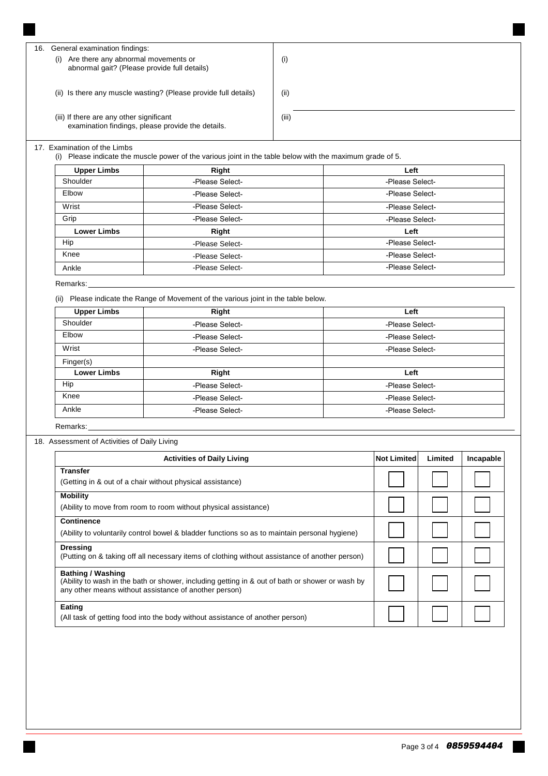| General examination findings:<br>16.<br>Are there any abnormal movements or<br>(i)<br>abnormal gait? (Please provide full details) | $\left( i\right)$ |
|------------------------------------------------------------------------------------------------------------------------------------|-------------------|
| (ii) Is there any muscle wasting? (Please provide full details)                                                                    | (ii)              |
| (iii) If there are any other significant<br>examination findings, please provide the details.                                      | (iii)             |

## 17. Examination of the Limbs

(i) Please indicate the muscle power of the various joint in the table below with the maximum grade of 5.

| <b>Upper Limbs</b> | Right           | Left            |  |  |  |  |
|--------------------|-----------------|-----------------|--|--|--|--|
| Shoulder           | -Please Select- | -Please Select- |  |  |  |  |
| Elbow              | -Please Select- | -Please Select- |  |  |  |  |
| Wrist              | -Please Select- | -Please Select- |  |  |  |  |
| Grip               | -Please Select- | -Please Select- |  |  |  |  |
| <b>Lower Limbs</b> | Right           | Left            |  |  |  |  |
| Hip                | -Please Select- | -Please Select- |  |  |  |  |
| Knee               | -Please Select- | -Please Select- |  |  |  |  |
| Ankle              | -Please Select- | -Please Select- |  |  |  |  |

## Remarks:\_\_\_\_\_\_\_\_\_\_\_\_

(ii) Please indicate the Range of Movement of the various joint in the table below.

| <b>Upper Limbs</b> | Right           | Left            |  |  |  |
|--------------------|-----------------|-----------------|--|--|--|
| Shoulder           | -Please Select- | -Please Select- |  |  |  |
| Elbow              | -Please Select- | -Please Select- |  |  |  |
| Wrist              | -Please Select- | -Please Select- |  |  |  |
| Finger(s)          |                 |                 |  |  |  |
| <b>Lower Limbs</b> | Right           | Left            |  |  |  |
| Hip                | -Please Select- | -Please Select- |  |  |  |
| Knee               | -Please Select- | -Please Select- |  |  |  |
| Ankle              | -Please Select- | -Please Select- |  |  |  |

Remarks:

## 18. Assessment of Activities of Daily Living

| <b>Activities of Daily Living</b>                                                                                                                                                    | <b>Not Limited</b> | Limited | Incapable |
|--------------------------------------------------------------------------------------------------------------------------------------------------------------------------------------|--------------------|---------|-----------|
| <b>Transfer</b><br>(Getting in & out of a chair without physical assistance)                                                                                                         |                    |         |           |
| <b>Mobility</b><br>(Ability to move from room to room without physical assistance)                                                                                                   |                    |         |           |
| <b>Continence</b><br>(Ability to voluntarily control bowel & bladder functions so as to maintain personal hygiene)                                                                   |                    |         |           |
| <b>Dressing</b><br>(Putting on & taking off all necessary items of clothing without assistance of another person)                                                                    |                    |         |           |
| <b>Bathing / Washing</b><br>(Ability to wash in the bath or shower, including getting in & out of bath or shower or wash by<br>any other means without assistance of another person) |                    |         |           |
| Eating<br>(All task of getting food into the body without assistance of another person)                                                                                              |                    |         |           |